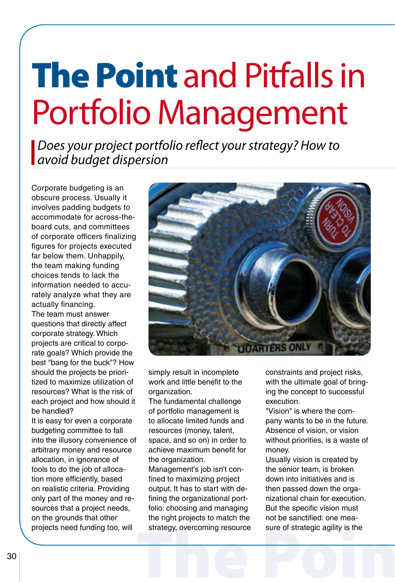## The Point and Pitfalls in Portfolio Management

*Does your project portfolio reflect your strategy? How to avoid budget dispersion*

Corporate budgeting is an obscure process. Usually it involves padding budgets to accommodate for across-theboard cuts, and committees of corporate officers finalizing figures for projects executed far below them. Unhappily, the team making funding choices tends to lack the information needed to accurately analyze what they are actually financing. The team must answer questions that directly affect corporate strategy. Which projects are critical to corporate goals? Which provide the best "bang for the buck"? How should the projects be prioritized to maximize utilization of resources? What is the risk of each project and how should it be handled?

It is easy for even a corporate budgeting committee to fall into the illusory convenience of arbitrary money and resource allocation, in ignorance of tools to do the job of allocation more efficiently, based on realistic criteria. Providing only part of the money and resources that a project needs, on the grounds that other projects need funding too, will



simply result in incomplete work and little benefit to the organization.

The fundamental challenge of portfolio management is to allocate limited funds and resources (money, talent, space, and so on) in order to achieve maximum benefit for the organization.

Management's job isn't confined to maximizing project output. It has to start with defining the organizational portfolio: choosing and managing the right projects to match the strategy, overcoming resource constraints and project risks, with the ultimate goal of bringing the concept to successful execution.

"Vision" is where the company wants to be in the future. Absence of vision, or vision without priorities, is a waste of money.

strategy, overcoming resource sure of strategic agility is the Usually vision is created by the senior team, is broken down into initiatives and is then passed down the organizational chain for execution. But the specific vision must not be sanctified: one measure of strategic agility is the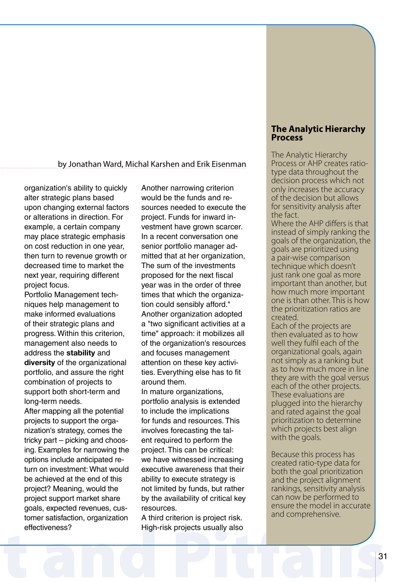#### by Jonathan Ward, Michal Karshen and Erik Eisenman

organization's ability to quickly alter strategic plans based upon changing external factors or alterations in direction. For example, a certain company may place strategic emphasis on cost reduction in one year, then turn to revenue growth or decreased time to market the next year, requiring different project focus.

Portfolio Management techniques help management to make informed evaluations of their strategic plans and progress. Within this criterion, management also needs to address the **stability** and **diversity** of the organizational portfolio, and assure the right combination of projects to support both short-term and long-term needs.

effectiveness?<br>
High-risk projects usually also<br>
31 After mapping all the potential projects to support the organization's strategy, comes the tricky part – picking and choosing. Examples for narrowing the options include anticipated return on investment: What would be achieved at the end of this project? Meaning, would the project support market share goals, expected revenues, customer satisfaction, organization effectiveness?

Another narrowing criterion would be the funds and resources needed to execute the project. Funds for inward investment have grown scarcer. In a recent conversation one senior portfolio manager admitted that at her organization, The sum of the investments proposed for the next fiscal year was in the order of three times that which the organization could sensibly afford." Another organization adopted a "two significant activities at a time" approach: it mobilizes all of the organization's resources and focuses management attention on these key activities. Everything else has to fit around them.

In mature organizations, portfolio analysis is extended to include the implications for funds and resources. This involves forecasting the talent required to perform the project. This can be critical: we have witnessed increasing executive awareness that their ability to execute strategy is not limited by funds, but rather by the availability of critical key resources.

A third criterion is project risk. High-risk projects usually also

#### **The Analytic Hierarchy Process**

The Analytic Hierarchy Process or AHP creates ratiotype data throughout the decision process which not only increases the accuracy of the decision but allows for sensitivity analysis after the fact.

Where the AHP differs is that instead of simply ranking the goals of the organization, the goals are prioritized using a pair-wise comparison technique which doesn't just rank one goal as more important than another, but how much more important one is than other. This is how the prioritization ratios are created.

Each of the projects are then evaluated as to how well they fulfil each of the organizational goals, again not simply as a ranking but as to how much more in line they are with the goal versus each of the other projects. These evaluations are plugged into the hierarchy and rated against the goal prioritization to determine which projects best align with the goals.

Because this process has created ratio-type data for both the goal prioritization and the project alignment rankings, sensitivity analysis can now be performed to ensure the model in accurate and comprehensive.